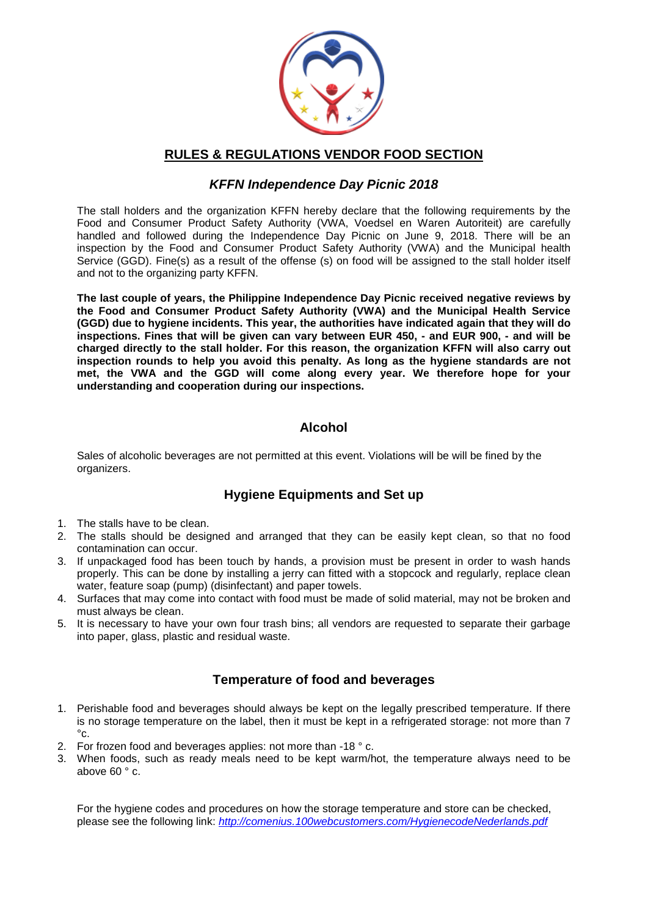

#### **RULES & REGULATIONS VENDOR FOOD SECTION**

## *KFFN Independence Day Picnic 2018*

The stall holders and the organization KFFN hereby declare that the following requirements by the Food and Consumer Product Safety Authority (VWA, Voedsel en Waren Autoriteit) are carefully handled and followed during the Independence Day Picnic on June 9, 2018. There will be an inspection by the Food and Consumer Product Safety Authority (VWA) and the Municipal health Service (GGD). Fine(s) as a result of the offense (s) on food will be assigned to the stall holder itself and not to the organizing party KFFN.

**The last couple of years, the Philippine Independence Day Picnic received negative reviews by the Food and Consumer Product Safety Authority (VWA) and the Municipal Health Service (GGD) due to hygiene incidents. This year, the authorities have indicated again that they will do inspections. Fines that will be given can vary between EUR 450, - and EUR 900, - and will be charged directly to the stall holder. For this reason, the organization KFFN will also carry out inspection rounds to help you avoid this penalty. As long as the hygiene standards are not met, the VWA and the GGD will come along every year. We therefore hope for your understanding and cooperation during our inspections.**

## **Alcohol**

Sales of alcoholic beverages are not permitted at this event. Violations will be will be fined by the organizers.

## **Hygiene Equipments and Set up**

- 1. The stalls have to be clean.
- 2. The stalls should be designed and arranged that they can be easily kept clean, so that no food contamination can occur.
- 3. If unpackaged food has been touch by hands, a provision must be present in order to wash hands properly. This can be done by installing a jerry can fitted with a stopcock and regularly, replace clean water, feature soap (pump) (disinfectant) and paper towels.
- 4. Surfaces that may come into contact with food must be made of solid material, may not be broken and must always be clean.
- 5. It is necessary to have your own four trash bins; all vendors are requested to separate their garbage into paper, glass, plastic and residual waste.

## **Temperature of food and beverages**

- 1. Perishable food and beverages should always be kept on the legally prescribed temperature. If there is no storage temperature on the label, then it must be kept in a refrigerated storage: not more than 7  $^{\circ}$ c.
- 2. For frozen food and beverages applies: not more than -18 ° c.
- 3. When foods, such as ready meals need to be kept warm/hot, the temperature always need to be above 60 ° c.

For the hygiene codes and procedures on how the storage temperature and store can be checked, please see the following link: *<http://comenius.100webcustomers.com/HygienecodeNederlands.pdf>*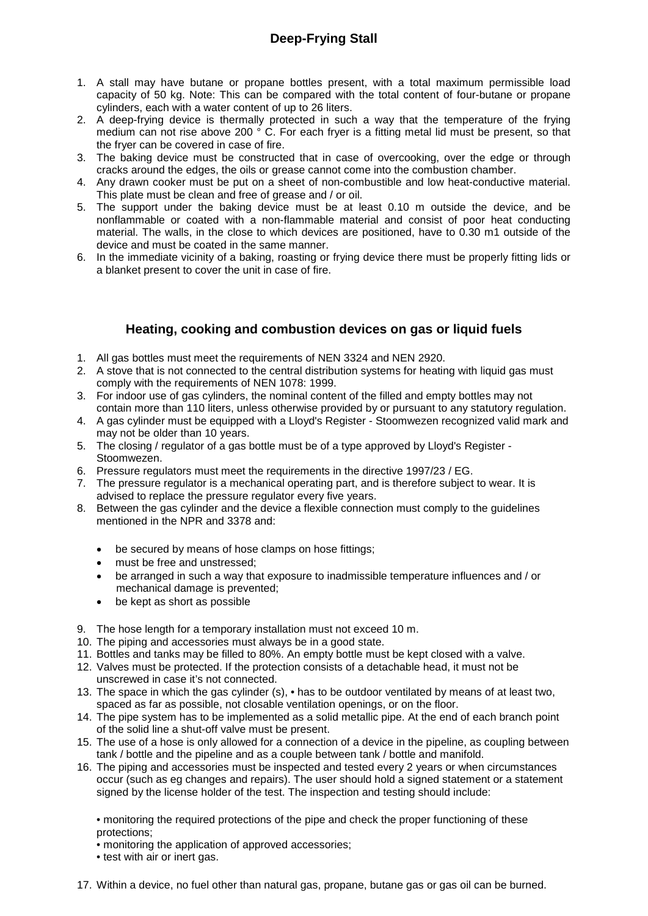# **Deep-Frying Stall**

- 1. A stall may have butane or propane bottles present, with a total maximum permissible load capacity of 50 kg. Note: This can be compared with the total content of four-butane or propane cylinders, each with a water content of up to 26 liters.
- 2. A deep-frying device is thermally protected in such a way that the temperature of the frying medium can not rise above 200 ° C. For each fryer is a fitting metal lid must be present, so that the fryer can be covered in case of fire.
- 3. The baking device must be constructed that in case of overcooking, over the edge or through cracks around the edges, the oils or grease cannot come into the combustion chamber.
- 4. Any drawn cooker must be put on a sheet of non-combustible and low heat-conductive material. This plate must be clean and free of grease and / or oil.
- 5. The support under the baking device must be at least 0.10 m outside the device, and be nonflammable or coated with a non-flammable material and consist of poor heat conducting material. The walls, in the close to which devices are positioned, have to 0.30 m1 outside of the device and must be coated in the same manner.
- 6. In the immediate vicinity of a baking, roasting or frying device there must be properly fitting lids or a blanket present to cover the unit in case of fire.

## **Heating, cooking and combustion devices on gas or liquid fuels**

- 1. All gas bottles must meet the requirements of NEN 3324 and NEN 2920.
- 2. A stove that is not connected to the central distribution systems for heating with liquid gas must comply with the requirements of NEN 1078: 1999.
- 3. For indoor use of gas cylinders, the nominal content of the filled and empty bottles may not contain more than 110 liters, unless otherwise provided by or pursuant to any statutory regulation.
- 4. A gas cylinder must be equipped with a Lloyd's Register Stoomwezen recognized valid mark and may not be older than 10 years.
- 5. The closing / regulator of a gas bottle must be of a type approved by Lloyd's Register Stoomwezen.
- 6. Pressure regulators must meet the requirements in the directive 1997/23 / EG.
- 7. The pressure regulator is a mechanical operating part, and is therefore subject to wear. It is advised to replace the pressure regulator every five years.
- 8. Between the gas cylinder and the device a flexible connection must comply to the guidelines mentioned in the NPR and 3378 and:
	- be secured by means of hose clamps on hose fittings;
	- must be free and unstressed;
	- be arranged in such a way that exposure to inadmissible temperature influences and / or mechanical damage is prevented;
	- be kept as short as possible
- 9. The hose length for a temporary installation must not exceed 10 m.
- 10. The piping and accessories must always be in a good state.
- 11. Bottles and tanks may be filled to 80%. An empty bottle must be kept closed with a valve.
- 12. Valves must be protected. If the protection consists of a detachable head, it must not be unscrewed in case it's not connected.
- 13. The space in which the gas cylinder (s), has to be outdoor ventilated by means of at least two, spaced as far as possible, not closable ventilation openings, or on the floor.
- 14. The pipe system has to be implemented as a solid metallic pipe. At the end of each branch point of the solid line a shut-off valve must be present.
- 15. The use of a hose is only allowed for a connection of a device in the pipeline, as coupling between tank / bottle and the pipeline and as a couple between tank / bottle and manifold.
- 16. The piping and accessories must be inspected and tested every 2 years or when circumstances occur (such as eg changes and repairs). The user should hold a signed statement or a statement signed by the license holder of the test. The inspection and testing should include:

• monitoring the required protections of the pipe and check the proper functioning of these protections;

- monitoring the application of approved accessories;
- test with air or inert gas.